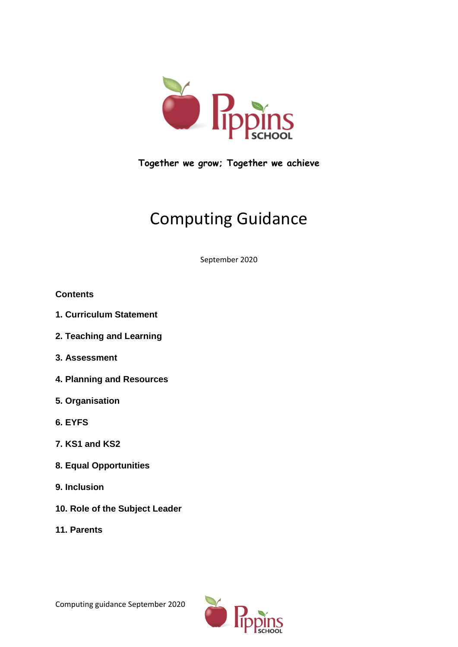

**Together we grow; Together we achieve**

# Computing Guidance

September 2020

## **Contents**

- **1. Curriculum Statement**
- **2. Teaching and Learning**
- **3. Assessment**
- **4. Planning and Resources**
- **5. Organisation**
- **6. EYFS**
- **7. KS1 and KS2**
- **8. Equal Opportunities**
- **9. Inclusion**
- **10. Role of the Subject Leader**
- **11. Parents**

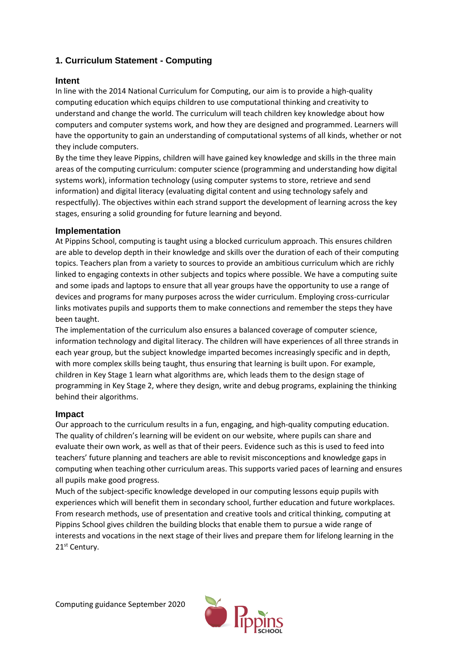## **1. Curriculum Statement - Computing**

## **Intent**

In line with the 2014 National Curriculum for Computing, our aim is to provide a high-quality computing education which equips children to use computational thinking and creativity to understand and change the world. The curriculum will teach children key knowledge about how computers and computer systems work, and how they are designed and programmed. Learners will have the opportunity to gain an understanding of computational systems of all kinds, whether or not they include computers.

By the time they leave Pippins, children will have gained key knowledge and skills in the three main areas of the computing curriculum: computer science (programming and understanding how digital systems work), information technology (using computer systems to store, retrieve and send information) and digital literacy (evaluating digital content and using technology safely and respectfully). The objectives within each strand support the development of learning across the key stages, ensuring a solid grounding for future learning and beyond.

## **Implementation**

At Pippins School, computing is taught using a blocked curriculum approach. This ensures children are able to develop depth in their knowledge and skills over the duration of each of their computing topics. Teachers plan from a variety to sources to provide an ambitious curriculum which are richly linked to engaging contexts in other subjects and topics where possible. We have a computing suite and some ipads and laptops to ensure that all year groups have the opportunity to use a range of devices and programs for many purposes across the wider curriculum. Employing cross-curricular links motivates pupils and supports them to make connections and remember the steps they have been taught.

The implementation of the curriculum also ensures a balanced coverage of computer science, information technology and digital literacy. The children will have experiences of all three strands in each year group, but the subject knowledge imparted becomes increasingly specific and in depth, with more complex skills being taught, thus ensuring that learning is built upon. For example, children in Key Stage 1 learn what algorithms are, which leads them to the design stage of programming in Key Stage 2, where they design, write and debug programs, explaining the thinking behind their algorithms.

## **Impact**

Our approach to the curriculum results in a fun, engaging, and high-quality computing education. The quality of children's learning will be evident on our website, where pupils can share and evaluate their own work, as well as that of their peers. Evidence such as this is used to feed into teachers' future planning and teachers are able to revisit misconceptions and knowledge gaps in computing when teaching other curriculum areas. This supports varied paces of learning and ensures all pupils make good progress.

Much of the subject-specific knowledge developed in our computing lessons equip pupils with experiences which will benefit them in secondary school, further education and future workplaces. From research methods, use of presentation and creative tools and critical thinking, computing at Pippins School gives children the building blocks that enable them to pursue a wide range of interests and vocations in the next stage of their lives and prepare them for lifelong learning in the 21<sup>st</sup> Century.

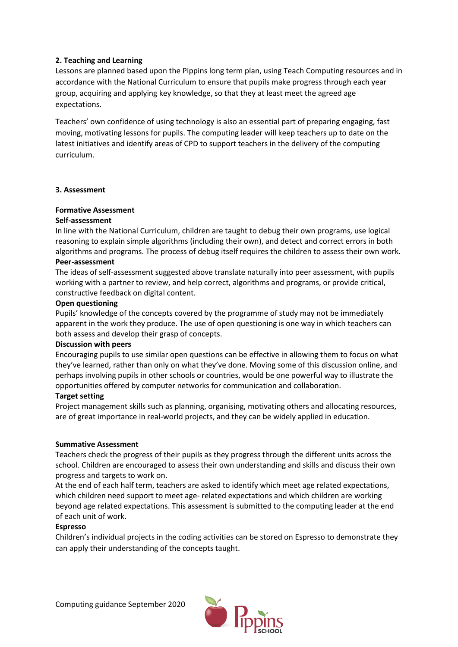## **2. Teaching and Learning**

Lessons are planned based upon the Pippins long term plan, using Teach Computing resources and in accordance with the National Curriculum to ensure that pupils make progress through each year group, acquiring and applying key knowledge, so that they at least meet the agreed age expectations.

Teachers' own confidence of using technology is also an essential part of preparing engaging, fast moving, motivating lessons for pupils. The computing leader will keep teachers up to date on the latest initiatives and identify areas of CPD to support teachers in the delivery of the computing curriculum.

#### **3. Assessment**

#### **Formative Assessment**

#### **Self-assessment**

In line with the National Curriculum, children are taught to debug their own programs, use logical reasoning to explain simple algorithms (including their own), and detect and correct errors in both algorithms and programs. The process of debug itself requires the children to assess their own work.

#### **Peer-assessment**

The ideas of self-assessment suggested above translate naturally into peer assessment, with pupils working with a partner to review, and help correct, algorithms and programs, or provide critical, constructive feedback on digital content.

#### **Open questioning**

Pupils' knowledge of the concepts covered by the programme of study may not be immediately apparent in the work they produce. The use of open questioning is one way in which teachers can both assess and develop their grasp of concepts.

#### **Discussion with peers**

Encouraging pupils to use similar open questions can be effective in allowing them to focus on what they've learned, rather than only on what they've done. Moving some of this discussion online, and perhaps involving pupils in other schools or countries, would be one powerful way to illustrate the opportunities offered by computer networks for communication and collaboration.

#### **Target setting**

Project management skills such as planning, organising, motivating others and allocating resources, are of great importance in real-world projects, and they can be widely applied in education.

#### **Summative Assessment**

Teachers check the progress of their pupils as they progress through the different units across the school. Children are encouraged to assess their own understanding and skills and discuss their own progress and targets to work on.

At the end of each half term, teachers are asked to identify which meet age related expectations, which children need support to meet age- related expectations and which children are working beyond age related expectations. This assessment is submitted to the computing leader at the end of each unit of work.

#### **Espresso**

Children's individual projects in the coding activities can be stored on Espresso to demonstrate they can apply their understanding of the concepts taught.

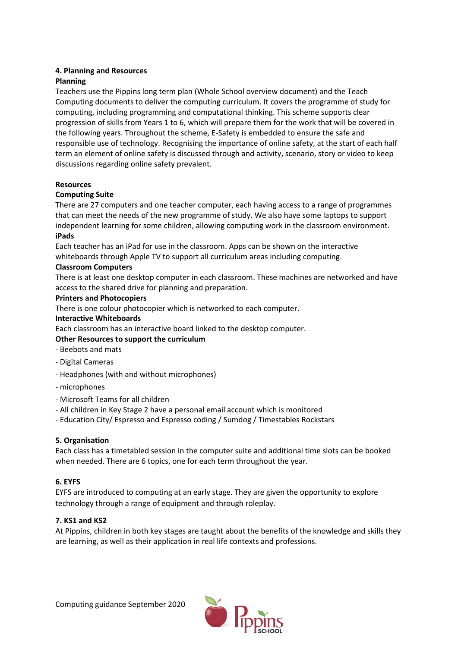## **4. Planning and Resources**

## **Planning**

Teachers use the Pippins long term plan (Whole School overview document) and the Teach Computing documents to deliver the computing curriculum. It covers the programme of study for computing, including programming and computational thinking. This scheme supports clear progression of skills from Years 1 to 6, which will prepare them for the work that will be covered in the following years. Throughout the scheme, E-Safety is embedded to ensure the safe and responsible use of technology. Recognising the importance of online safety, at the start of each half term an element of online safety is discussed through and activity, scenario, story or video to keep discussions regarding online safety prevalent.

#### **Resources**

#### **Computing Suite**

There are 27 computers and one teacher computer, each having access to a range of programmes that can meet the needs of the new programme of study. We also have some laptops to support independent learning for some children, allowing computing work in the classroom environment. **iPads** 

Each teacher has an iPad for use in the classroom. Apps can be shown on the interactive whiteboards through Apple TV to support all curriculum areas including computing.

## **Classroom Computers**

There is at least one desktop computer in each classroom. These machines are networked and have access to the shared drive for planning and preparation.

#### **Printers and Photocopiers**

There is one colour photocopier which is networked to each computer.

#### **Interactive Whiteboards**

Each classroom has an interactive board linked to the desktop computer.

## **Other Resources to support the curriculum**

- Beebots and mats
- Digital Cameras
- Headphones (with and without microphones)
- microphones
- Microsoft Teams for all children
- All children in Key Stage 2 have a personal email account which is monitored
- Education City/ Espresso and Espresso coding / Sumdog / Timestables Rockstars

## **5. Organisation**

Each class has a timetabled session in the computer suite and additional time slots can be booked when needed. There are 6 topics, one for each term throughout the year.

## **6. EYFS**

EYFS are introduced to computing at an early stage. They are given the opportunity to explore technology through a range of equipment and through roleplay.

## **7. KS1 and KS2**

At Pippins, children in both key stages are taught about the benefits of the knowledge and skills they are learning, as well as their application in real life contexts and professions.

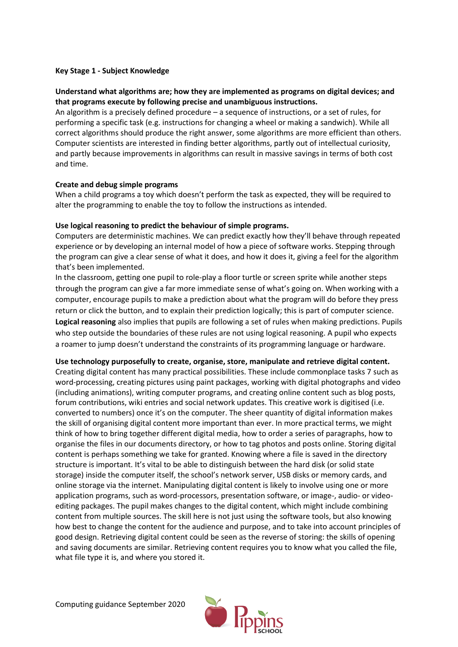#### **Key Stage 1 - Subject Knowledge**

#### **Understand what algorithms are; how they are implemented as programs on digital devices; and that programs execute by following precise and unambiguous instructions.**

An algorithm is a precisely defined procedure – a sequence of instructions, or a set of rules, for performing a specific task (e.g. instructions for changing a wheel or making a sandwich). While all correct algorithms should produce the right answer, some algorithms are more efficient than others. Computer scientists are interested in finding better algorithms, partly out of intellectual curiosity, and partly because improvements in algorithms can result in massive savings in terms of both cost and time.

#### **Create and debug simple programs**

When a child programs a toy which doesn't perform the task as expected, they will be required to alter the programming to enable the toy to follow the instructions as intended.

#### **Use logical reasoning to predict the behaviour of simple programs.**

Computers are deterministic machines. We can predict exactly how they'll behave through repeated experience or by developing an internal model of how a piece of software works. Stepping through the program can give a clear sense of what it does, and how it does it, giving a feel for the algorithm that's been implemented.

In the classroom, getting one pupil to role-play a floor turtle or screen sprite while another steps through the program can give a far more immediate sense of what's going on. When working with a computer, encourage pupils to make a prediction about what the program will do before they press return or click the button, and to explain their prediction logically; this is part of computer science. **Logical reasoning** also implies that pupils are following a set of rules when making predictions. Pupils who step outside the boundaries of these rules are not using logical reasoning. A pupil who expects a roamer to jump doesn't understand the constraints of its programming language or hardware.

#### **Use technology purposefully to create, organise, store, manipulate and retrieve digital content.**

Creating digital content has many practical possibilities. These include commonplace tasks 7 such as word-processing, creating pictures using paint packages, working with digital photographs and video (including animations), writing computer programs, and creating online content such as blog posts, forum contributions, wiki entries and social network updates. This creative work is digitised (i.e. converted to numbers) once it's on the computer. The sheer quantity of digital information makes the skill of organising digital content more important than ever. In more practical terms, we might think of how to bring together different digital media, how to order a series of paragraphs, how to organise the files in our documents directory, or how to tag photos and posts online. Storing digital content is perhaps something we take for granted. Knowing where a file is saved in the directory structure is important. It's vital to be able to distinguish between the hard disk (or solid state storage) inside the computer itself, the school's network server, USB disks or memory cards, and online storage via the internet. Manipulating digital content is likely to involve using one or more application programs, such as word-processors, presentation software, or image-, audio- or videoediting packages. The pupil makes changes to the digital content, which might include combining content from multiple sources. The skill here is not just using the software tools, but also knowing how best to change the content for the audience and purpose, and to take into account principles of good design. Retrieving digital content could be seen as the reverse of storing: the skills of opening and saving documents are similar. Retrieving content requires you to know what you called the file, what file type it is, and where you stored it.

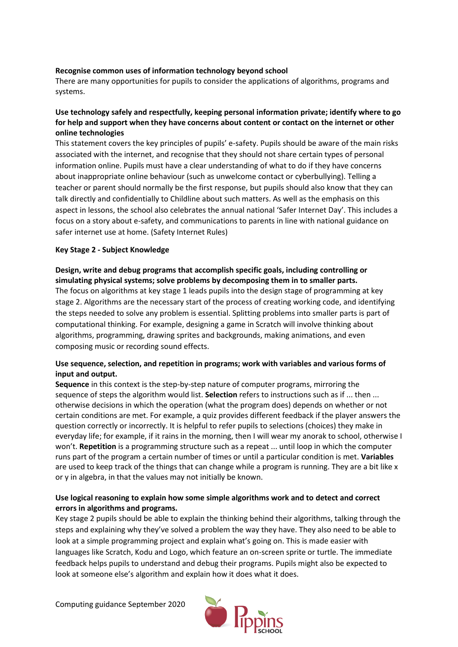#### **Recognise common uses of information technology beyond school**

There are many opportunities for pupils to consider the applications of algorithms, programs and systems.

## **Use technology safely and respectfully, keeping personal information private; identify where to go for help and support when they have concerns about content or contact on the internet or other online technologies**

This statement covers the key principles of pupils' e-safety. Pupils should be aware of the main risks associated with the internet, and recognise that they should not share certain types of personal information online. Pupils must have a clear understanding of what to do if they have concerns about inappropriate online behaviour (such as unwelcome contact or cyberbullying). Telling a teacher or parent should normally be the first response, but pupils should also know that they can talk directly and confidentially to Childline about such matters. As well as the emphasis on this aspect in lessons, the school also celebrates the annual national 'Safer Internet Day'. This includes a focus on a story about e-safety, and communications to parents in line with national guidance on safer internet use at home. (Safety Internet Rules)

#### **Key Stage 2 - Subject Knowledge**

**Design, write and debug programs that accomplish specific goals, including controlling or simulating physical systems; solve problems by decomposing them in to smaller parts.**  The focus on algorithms at key stage 1 leads pupils into the design stage of programming at key stage 2. Algorithms are the necessary start of the process of creating working code, and identifying the steps needed to solve any problem is essential. Splitting problems into smaller parts is part of computational thinking. For example, designing a game in Scratch will involve thinking about algorithms, programming, drawing sprites and backgrounds, making animations, and even composing music or recording sound effects.

## **Use sequence, selection, and repetition in programs; work with variables and various forms of input and output.**

**Sequence** in this context is the step-by-step nature of computer programs, mirroring the sequence of steps the algorithm would list. **Selection** refers to instructions such as if ... then ... otherwise decisions in which the operation (what the program does) depends on whether or not certain conditions are met. For example, a quiz provides different feedback if the player answers the question correctly or incorrectly. It is helpful to refer pupils to selections (choices) they make in everyday life; for example, if it rains in the morning, then I will wear my anorak to school, otherwise I won't. **Repetition** is a programming structure such as a repeat ... until loop in which the computer runs part of the program a certain number of times or until a particular condition is met. **Variables**  are used to keep track of the things that can change while a program is running. They are a bit like x or y in algebra, in that the values may not initially be known.

## **Use logical reasoning to explain how some simple algorithms work and to detect and correct errors in algorithms and programs.**

Key stage 2 pupils should be able to explain the thinking behind their algorithms, talking through the steps and explaining why they've solved a problem the way they have. They also need to be able to look at a simple programming project and explain what's going on. This is made easier with languages like Scratch, Kodu and Logo, which feature an on-screen sprite or turtle. The immediate feedback helps pupils to understand and debug their programs. Pupils might also be expected to look at someone else's algorithm and explain how it does what it does.

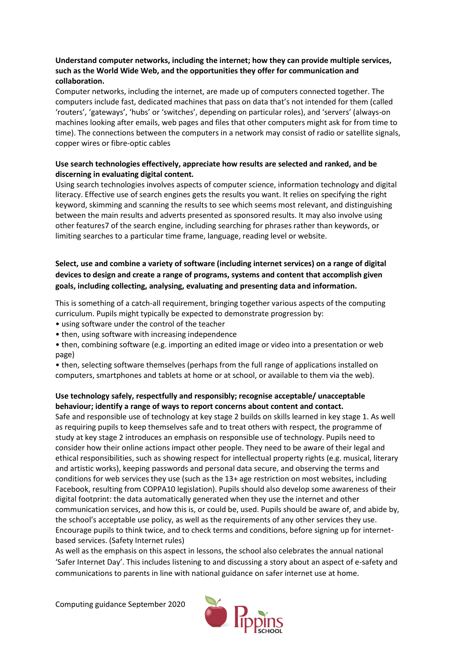## **Understand computer networks, including the internet; how they can provide multiple services, such as the World Wide Web, and the opportunities they offer for communication and collaboration.**

Computer networks, including the internet, are made up of computers connected together. The computers include fast, dedicated machines that pass on data that's not intended for them (called 'routers', 'gateways', 'hubs' or 'switches', depending on particular roles), and 'servers' (always-on machines looking after emails, web pages and files that other computers might ask for from time to time). The connections between the computers in a network may consist of radio or satellite signals, copper wires or fibre-optic cables

## **Use search technologies effectively, appreciate how results are selected and ranked, and be discerning in evaluating digital content.**

Using search technologies involves aspects of computer science, information technology and digital literacy. Effective use of search engines gets the results you want. It relies on specifying the right keyword, skimming and scanning the results to see which seems most relevant, and distinguishing between the main results and adverts presented as sponsored results. It may also involve using other features7 of the search engine, including searching for phrases rather than keywords, or limiting searches to a particular time frame, language, reading level or website.

## **Select, use and combine a variety of software (including internet services) on a range of digital devices to design and create a range of programs, systems and content that accomplish given goals, including collecting, analysing, evaluating and presenting data and information.**

This is something of a catch-all requirement, bringing together various aspects of the computing curriculum. Pupils might typically be expected to demonstrate progression by:

- using software under the control of the teacher
- then, using software with increasing independence
- then, combining software (e.g. importing an edited image or video into a presentation or web page)
- then, selecting software themselves (perhaps from the full range of applications installed on computers, smartphones and tablets at home or at school, or available to them via the web).

## **Use technology safely, respectfully and responsibly; recognise acceptable/ unacceptable behaviour; identify a range of ways to report concerns about content and contact.**

Safe and responsible use of technology at key stage 2 builds on skills learned in key stage 1. As well as requiring pupils to keep themselves safe and to treat others with respect, the programme of study at key stage 2 introduces an emphasis on responsible use of technology. Pupils need to consider how their online actions impact other people. They need to be aware of their legal and ethical responsibilities, such as showing respect for intellectual property rights (e.g. musical, literary and artistic works), keeping passwords and personal data secure, and observing the terms and conditions for web services they use (such as the 13+ age restriction on most websites, including Facebook, resulting from COPPA10 legislation). Pupils should also develop some awareness of their digital footprint: the data automatically generated when they use the internet and other communication services, and how this is, or could be, used. Pupils should be aware of, and abide by, the school's acceptable use policy, as well as the requirements of any other services they use. Encourage pupils to think twice, and to check terms and conditions, before signing up for internetbased services. (Safety Internet rules)

As well as the emphasis on this aspect in lessons, the school also celebrates the annual national 'Safer Internet Day'. This includes listening to and discussing a story about an aspect of e-safety and communications to parents in line with national guidance on safer internet use at home.

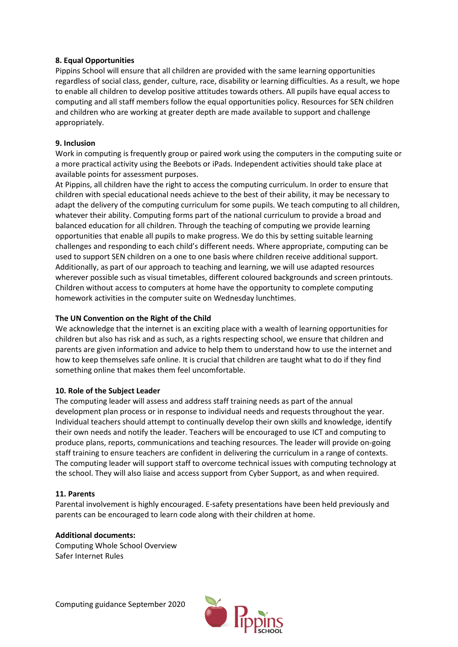#### **8. Equal Opportunities**

Pippins School will ensure that all children are provided with the same learning opportunities regardless of social class, gender, culture, race, disability or learning difficulties. As a result, we hope to enable all children to develop positive attitudes towards others. All pupils have equal access to computing and all staff members follow the equal opportunities policy. Resources for SEN children and children who are working at greater depth are made available to support and challenge appropriately.

#### **9. Inclusion**

Work in computing is frequently group or paired work using the computers in the computing suite or a more practical activity using the Beebots or iPads. Independent activities should take place at available points for assessment purposes.

At Pippins, all children have the right to access the computing curriculum. In order to ensure that children with special educational needs achieve to the best of their ability, it may be necessary to adapt the delivery of the computing curriculum for some pupils. We teach computing to all children, whatever their ability. Computing forms part of the national curriculum to provide a broad and balanced education for all children. Through the teaching of computing we provide learning opportunities that enable all pupils to make progress. We do this by setting suitable learning challenges and responding to each child's different needs. Where appropriate, computing can be used to support SEN children on a one to one basis where children receive additional support. Additionally, as part of our approach to teaching and learning, we will use adapted resources wherever possible such as visual timetables, different coloured backgrounds and screen printouts. Children without access to computers at home have the opportunity to complete computing homework activities in the computer suite on Wednesday lunchtimes.

#### **The UN Convention on the Right of the Child**

We acknowledge that the internet is an exciting place with a wealth of learning opportunities for children but also has risk and as such, as a rights respecting school, we ensure that children and parents are given information and advice to help them to understand how to use the internet and how to keep themselves safe online. It is crucial that children are taught what to do if they find something online that makes them feel uncomfortable.

#### **10. Role of the Subject Leader**

The computing leader will assess and address staff training needs as part of the annual development plan process or in response to individual needs and requests throughout the year. Individual teachers should attempt to continually develop their own skills and knowledge, identify their own needs and notify the leader. Teachers will be encouraged to use ICT and computing to produce plans, reports, communications and teaching resources. The leader will provide on-going staff training to ensure teachers are confident in delivering the curriculum in a range of contexts. The computing leader will support staff to overcome technical issues with computing technology at the school. They will also liaise and access support from Cyber Support, as and when required.

#### **11. Parents**

Parental involvement is highly encouraged. E-safety presentations have been held previously and parents can be encouraged to learn code along with their children at home.

#### **Additional documents:**

Computing Whole School Overview Safer Internet Rules

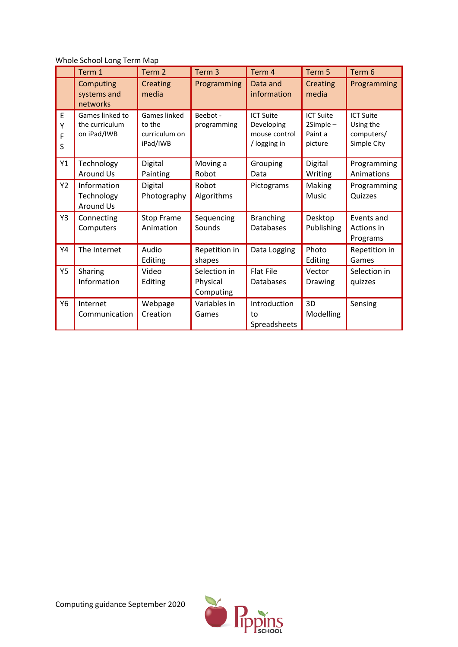Whole School Long Term Map

|                  | Term 1                                           | Term <sub>2</sub>                                   | Term <sub>3</sub>                     | Term 4                                                          | Term 5                                               | Term <sub>6</sub>                                          |
|------------------|--------------------------------------------------|-----------------------------------------------------|---------------------------------------|-----------------------------------------------------------------|------------------------------------------------------|------------------------------------------------------------|
|                  | Computing<br>systems and<br>networks             | <b>Creating</b><br>media                            | Programming                           | Data and<br>information                                         | <b>Creating</b><br>media                             | Programming                                                |
| E<br>Υ<br>F<br>S | Games linked to<br>the curriculum<br>on iPad/IWB | Games linked<br>to the<br>curriculum on<br>iPad/IWB | Beebot -<br>programming               | <b>ICT Suite</b><br>Developing<br>mouse control<br>/ logging in | <b>ICT Suite</b><br>$2Simple-$<br>Paint a<br>picture | <b>ICT Suite</b><br>Using the<br>computers/<br>Simple City |
| Y1               | Technology<br><b>Around Us</b>                   | Digital<br>Painting                                 | Moving a<br>Robot                     | Grouping<br>Data                                                | Digital<br>Writing                                   | Programming<br>Animations                                  |
| Y2               | Information<br>Technology<br>Around Us           | Digital<br>Photography                              | Robot<br>Algorithms                   | Pictograms                                                      | Making<br><b>Music</b>                               | Programming<br>Quizzes                                     |
| Y3               | Connecting<br>Computers                          | <b>Stop Frame</b><br>Animation                      | Sequencing<br>Sounds                  | <b>Branching</b><br><b>Databases</b>                            | Desktop<br>Publishing                                | Events and<br>Actions in<br>Programs                       |
| Y4               | The Internet                                     | Audio<br>Editing                                    | Repetition in<br>shapes               | Data Logging                                                    | Photo<br>Editing                                     | Repetition in<br>Games                                     |
| <b>Y5</b>        | Sharing<br>Information                           | Video<br>Editing                                    | Selection in<br>Physical<br>Computing | <b>Flat File</b><br>Databases                                   | Vector<br>Drawing                                    | Selection in<br>quizzes                                    |
| Y6               | Internet<br>Communication                        | Webpage<br>Creation                                 | Variables in<br>Games                 | Introduction<br>to<br>Spreadsheets                              | 3D<br>Modelling                                      | Sensing                                                    |

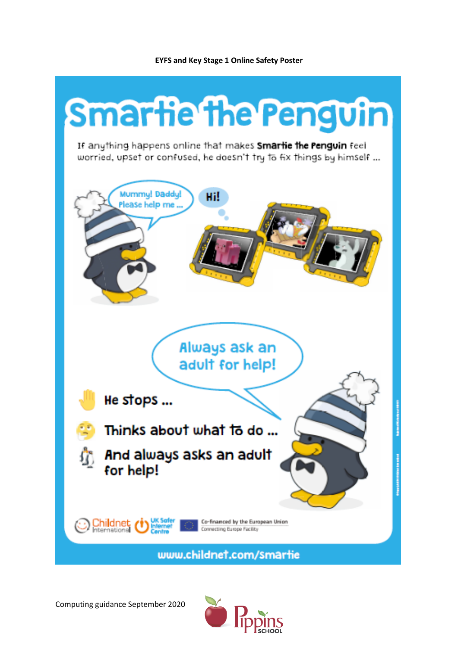#### **EYFS and Key Stage 1 Online Safety Poster**